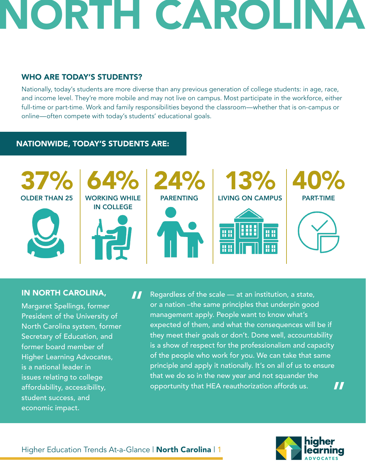## NORTH CAROLIN

### WHO ARE TODAY'S STUDENTS?

Nationally, today's students are more diverse than any previous generation of college students: in age, race, and income level. They're more mobile and may not live on campus. Most participate in the workforce, either full-time or part-time. Work and family responsibilities beyond the classroom—whether that is on-campus or online—often compete with today's students' educational goals.

### NATIONWIDE, TODAY'S STUDENTS ARE:



### IN NORTH CAROLINA,

Margaret Spellings, former President of the University of North Carolina system, former Secretary of Education, and former board member of Higher Learning Advocates, is a national leader in issues relating to college affordability, accessibility, student success, and economic impact.

Regardless of the scale — at an institution, a state, or a nation –the same principles that underpin good management apply. People want to know what's expected of them, and what the consequences will be if they meet their goals or don't. Done well, accountability is a show of respect for the professionalism and capacity of the people who work for you. We can take that same principle and apply it nationally. It's on all of us to ensure that we do so in the new year and not squander the opportunity that HEA reauthorization affords us. "



"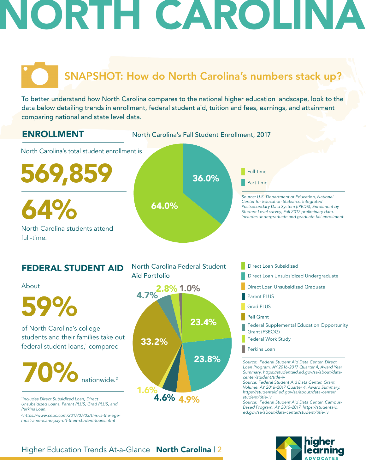# **NORTH CAROLIN**

### SNAPSHOT: How do North Carolina's numbers stack up?

To better understand how North Carolina compares to the national higher education landscape, look to the data below detailing trends in enrollment, federal student aid, tuition and fees, earnings, and attainment comparing national and state level data.



- Parent PLUS
- Grad PLUS
- Pell Grant
- Federal Supplemental Education Opportunity Grant (FSEOG)
- Federal Work Study
- **Perkins Loan**

*Source: Federal Student Aid Data Center. Direct Loan Program. AY 2016-2017 Quarter 4, Award Year Summary. https://studentaid.ed.gov/sa/about/datacenter/student/title-iv*

*Source: Federal Student Aid Data Center. Grant Volume. AY 2016-2017 Quarter 4, Award Summary. https://studentaid.ed.gov/sa/about/data-center/ student/title-iv*

*Source: Federal Student Aid Data Center. Campus-Based Program. AY 2016-2017. https://studentaid. ed.gov/sa/about/data-center/student/title-iv*



of North Carolina's college **23.4%** students and their families take out federal student loans,<sup>1</sup> compared 59% 70% nationwide. 2

*1 Includes Direct Subsidized Loan, Direct Unsubsidized Loans, Parent PLUS, Grad PLUS, and Perkins Loan.* 

*2 https://www.cnbc.com/2017/07/03/this-is-the-agemost-americans-pay-off-their-student-loans.html*

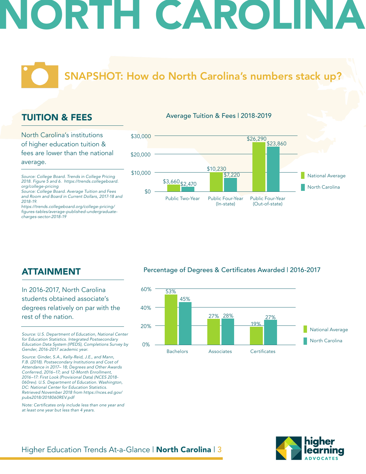# **JORTH CAROL**

SNAPSHOT: How do North Carolina's numbers stack up?

### TUITION & FEES

North Carolina's institutions of higher education tuition & fees are lower than the national average.

*Source: College Board. Trends in College Pricing 2018. Figure 5 and 6. https://trends.collegeboard. org/college-pricing*

*Source: College Board. Average Tuition and Fees and Room and Board in Current Dollars, 2017-18 and 2018-19.*

*https://trends.collegeboard.org/college-pricing/* figures-tables/average-published-undergraduate*charges-sector-2018-19*

#### Average Tuition & Fees | 2018-2019



### ATTAINMENT

In 2016-2017, North Carolina students obtained associate's degrees relatively on par with the rest of the nation.

*Source: U.S. Department of Education, National Center for Education Statistics. Integrated Postsecondary Education Data System (IPEDS), Completions Survey by Gender, 2016-2017 academic year.* 

*Source: Ginder, S.A., Kelly-Reid, J.E., and Mann, F.B. (2018). Postsecondary Institutions and Cost of Attendance in 2017– 18; Degrees and Other Awards Conferred, 2016–17; and 12-Month Enrollment, 2016–17: First Look (Provisional Data) (NCES 2018- 060rev). U.S. Department of Education. Washington, DC: National Center for Education Statistics. Retrieved November 2018 from https://nces.ed.gov/ pubs2018/2018060REV.pdf*

Note: Certificates only include less than one year and *at least one year but less than 4 years.* 

#### Percentage of Degrees & Certificates Awarded | 2016-2017



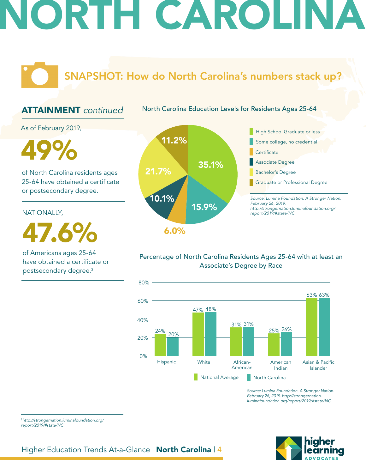# **JORTH CAROLIN**

SNAPSHOT: How do North Carolina's numbers stack up?

### ATTAINMENT *continued*

North Carolina Education Levels for Residents Ages 25-64

As of February 2019,

of North Carolina residents ages 25-64 have obtained a certificate or postsecondary degree.

NATIONALLY,

47.6%

of Americans ages 25-64 have obtained a certificate or postsecondary degree.3



### Percentage of North Carolina Residents Ages 25-64 with at least an Associate's Degree by Race



*Source: Lumina Foundation. A Stronger Nation. February 26, 2019. http://strongernation. luminafoundation.org/report/2019/#state/NC*



<sup>3</sup>*http://strongernation.luminafoundation.org/ report/2019/#state/NC*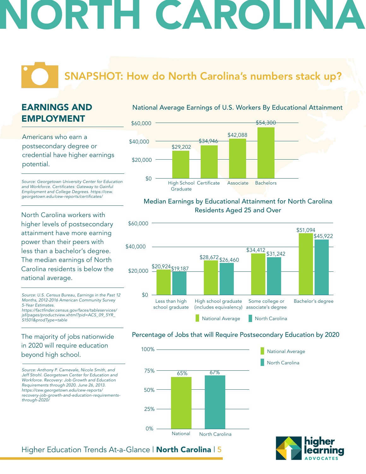# IORTH CAROLIN

### SNAPSHOT: How do North Carolina's numbers stack up?

### EARNINGS AND EMPLOYMENT

Americans who earn a postsecondary degree or credential have higher earnings potential.

*Source: Georgetown University Center for Education*  and Workforce. Certificates: Gateway to Gainful *Employment and College Degrees. https://cew.* georgetown.edu/cew-reports/certificates/

North Carolina workers with higher levels of postsecondary attainment have more earning power than their peers with less than a bachelor's degree. The median earnings of North Carolina residents is below the national average.

*Source: U.S. Census Bureau, Earnings in the Past 12 Months, 2012-2016 American Community Survey 5-Year Estimates.* https://factfinder.census.gov/faces/tableservices/

*jsf/pages/productview.xhtml?pid=ACS\_09\_5YR\_ S1501&prodType=table*

### The majority of jobs nationwide in 2020 will require education beyond high school.

*Source: Anthony P. Carnevale, Nicole Smith, and Jeff Strohl. Georgetown Center for Education and Workforce. Recovery: Job Growth and Education Requirements through 2020. June 26, 2013. https://cew.georgetown.edu/cew-reports/ recovery-job-growth-and-education-requirementsthrough-2020/*

#### National Average Earnings of U.S. Workers By Educational Attainment



### Median Earnings by Educational Attainment for North Carolina Residents Aged 25 and Over



#### Percentage of Jobs that will Require Postsecondary Education by 2020





National Average